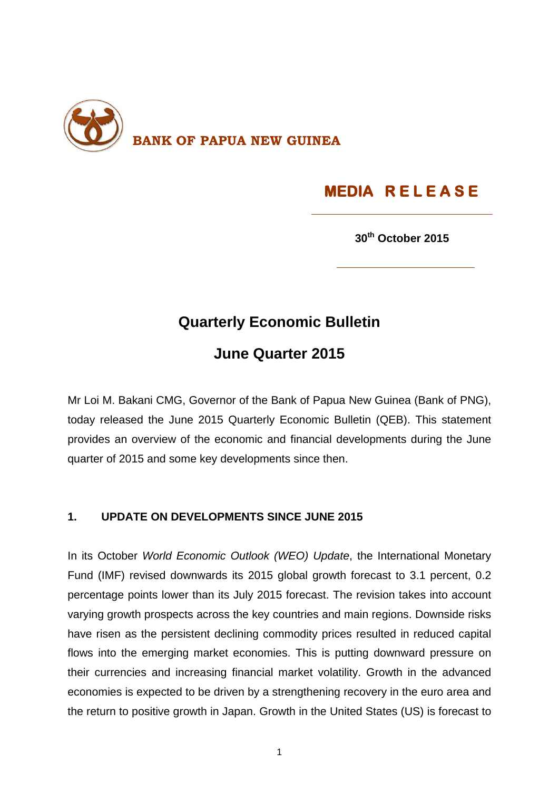

# **MEDIA R E L E A S E**

**30th October 2015**

## **Quarterly Economic Bulletin**

## **June Quarter 2015**

Mr Loi M. Bakani CMG, Governor of the Bank of Papua New Guinea (Bank of PNG), today released the June 2015 Quarterly Economic Bulletin (QEB). This statement provides an overview of the economic and financial developments during the June quarter of 2015 and some key developments since then.

### **1. UPDATE ON DEVELOPMENTS SINCE JUNE 2015**

In its October *World Economic Outlook (WEO) Update*, the International Monetary Fund (IMF) revised downwards its 2015 global growth forecast to 3.1 percent, 0.2 percentage points lower than its July 2015 forecast. The revision takes into account varying growth prospects across the key countries and main regions. Downside risks have risen as the persistent declining commodity prices resulted in reduced capital flows into the emerging market economies. This is putting downward pressure on their currencies and increasing financial market volatility. Growth in the advanced economies is expected to be driven by a strengthening recovery in the euro area and the return to positive growth in Japan. Growth in the United States (US) is forecast to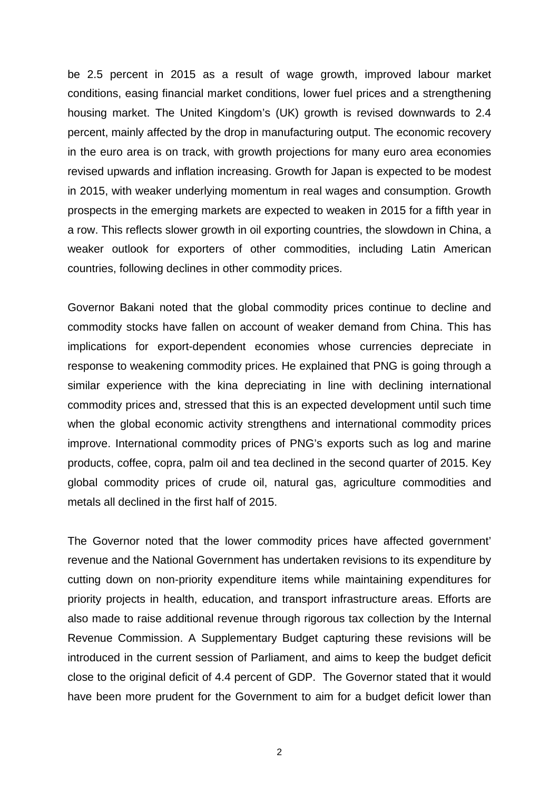be 2.5 percent in 2015 as a result of wage growth, improved labour market conditions, easing financial market conditions, lower fuel prices and a strengthening housing market. The United Kingdom's (UK) growth is revised downwards to 2.4 percent, mainly affected by the drop in manufacturing output. The economic recovery in the euro area is on track, with growth projections for many euro area economies revised upwards and inflation increasing. Growth for Japan is expected to be modest in 2015, with weaker underlying momentum in real wages and consumption. Growth prospects in the emerging markets are expected to weaken in 2015 for a fifth year in a row. This reflects slower growth in oil exporting countries, the slowdown in China, a weaker outlook for exporters of other commodities, including Latin American countries, following declines in other commodity prices.

Governor Bakani noted that the global commodity prices continue to decline and commodity stocks have fallen on account of weaker demand from China. This has implications for export-dependent economies whose currencies depreciate in response to weakening commodity prices. He explained that PNG is going through a similar experience with the kina depreciating in line with declining international commodity prices and, stressed that this is an expected development until such time when the global economic activity strengthens and international commodity prices improve. International commodity prices of PNG's exports such as log and marine products, coffee, copra, palm oil and tea declined in the second quarter of 2015. Key global commodity prices of crude oil, natural gas, agriculture commodities and metals all declined in the first half of 2015.

The Governor noted that the lower commodity prices have affected government' revenue and the National Government has undertaken revisions to its expenditure by cutting down on non-priority expenditure items while maintaining expenditures for priority projects in health, education, and transport infrastructure areas. Efforts are also made to raise additional revenue through rigorous tax collection by the Internal Revenue Commission. A Supplementary Budget capturing these revisions will be introduced in the current session of Parliament, and aims to keep the budget deficit close to the original deficit of 4.4 percent of GDP. The Governor stated that it would have been more prudent for the Government to aim for a budget deficit lower than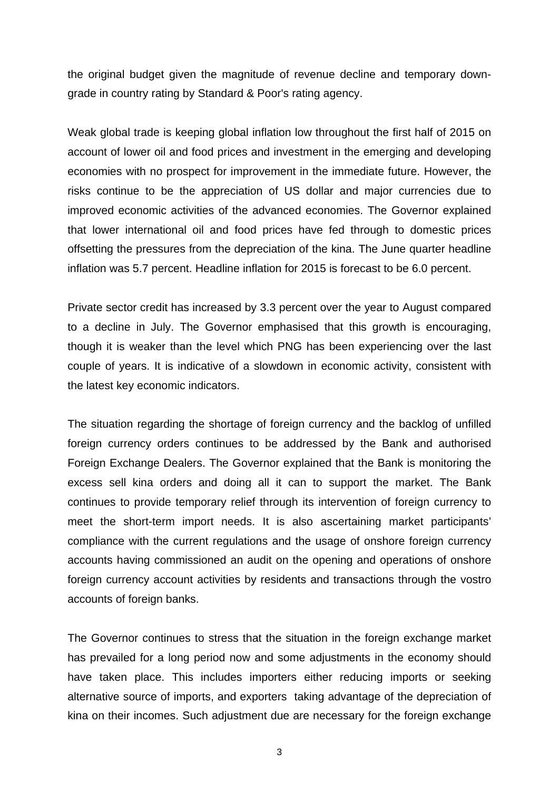the original budget given the magnitude of revenue decline and temporary downgrade in country rating by Standard & Poor's rating agency.

Weak global trade is keeping global inflation low throughout the first half of 2015 on account of lower oil and food prices and investment in the emerging and developing economies with no prospect for improvement in the immediate future. However, the risks continue to be the appreciation of US dollar and major currencies due to improved economic activities of the advanced economies. The Governor explained that lower international oil and food prices have fed through to domestic prices offsetting the pressures from the depreciation of the kina. The June quarter headline inflation was 5.7 percent. Headline inflation for 2015 is forecast to be 6.0 percent.

Private sector credit has increased by 3.3 percent over the year to August compared to a decline in July. The Governor emphasised that this growth is encouraging, though it is weaker than the level which PNG has been experiencing over the last couple of years. It is indicative of a slowdown in economic activity, consistent with the latest key economic indicators.

The situation regarding the shortage of foreign currency and the backlog of unfilled foreign currency orders continues to be addressed by the Bank and authorised Foreign Exchange Dealers. The Governor explained that the Bank is monitoring the excess sell kina orders and doing all it can to support the market. The Bank continues to provide temporary relief through its intervention of foreign currency to meet the short-term import needs. It is also ascertaining market participants' compliance with the current regulations and the usage of onshore foreign currency accounts having commissioned an audit on the opening and operations of onshore foreign currency account activities by residents and transactions through the vostro accounts of foreign banks.

The Governor continues to stress that the situation in the foreign exchange market has prevailed for a long period now and some adjustments in the economy should have taken place. This includes importers either reducing imports or seeking alternative source of imports, and exporters taking advantage of the depreciation of kina on their incomes. Such adjustment due are necessary for the foreign exchange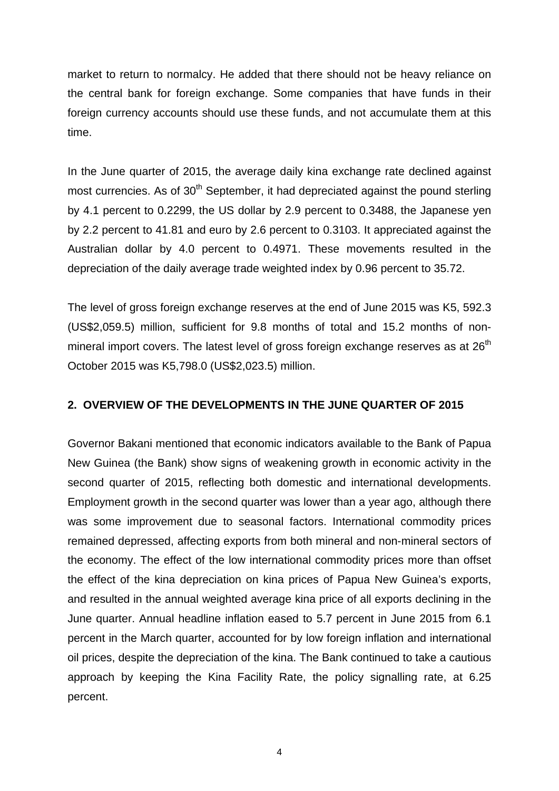market to return to normalcy. He added that there should not be heavy reliance on the central bank for foreign exchange. Some companies that have funds in their foreign currency accounts should use these funds, and not accumulate them at this time.

In the June quarter of 2015, the average daily kina exchange rate declined against most currencies. As of  $30<sup>th</sup>$  September, it had depreciated against the pound sterling by 4.1 percent to 0.2299, the US dollar by 2.9 percent to 0.3488, the Japanese yen by 2.2 percent to 41.81 and euro by 2.6 percent to 0.3103. It appreciated against the Australian dollar by 4.0 percent to 0.4971. These movements resulted in the depreciation of the daily average trade weighted index by 0.96 percent to 35.72.

The level of gross foreign exchange reserves at the end of June 2015 was K5, 592.3 (US\$2,059.5) million, sufficient for 9.8 months of total and 15.2 months of nonmineral import covers. The latest level of gross foreign exchange reserves as at 26<sup>th</sup> October 2015 was K5,798.0 (US\$2,023.5) million.

#### **2. OVERVIEW OF THE DEVELOPMENTS IN THE JUNE QUARTER OF 2015**

Governor Bakani mentioned that economic indicators available to the Bank of Papua New Guinea (the Bank) show signs of weakening growth in economic activity in the second quarter of 2015, reflecting both domestic and international developments. Employment growth in the second quarter was lower than a year ago, although there was some improvement due to seasonal factors. International commodity prices remained depressed, affecting exports from both mineral and non-mineral sectors of the economy. The effect of the low international commodity prices more than offset the effect of the kina depreciation on kina prices of Papua New Guinea's exports, and resulted in the annual weighted average kina price of all exports declining in the June quarter. Annual headline inflation eased to 5.7 percent in June 2015 from 6.1 percent in the March quarter, accounted for by low foreign inflation and international oil prices, despite the depreciation of the kina. The Bank continued to take a cautious approach by keeping the Kina Facility Rate, the policy signalling rate, at 6.25 percent.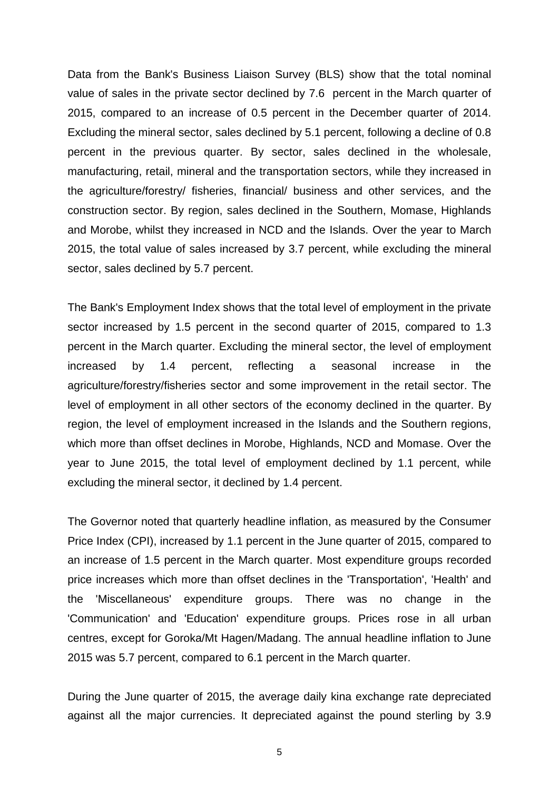Data from the Bank's Business Liaison Survey (BLS) show that the total nominal value of sales in the private sector declined by 7.6 percent in the March quarter of 2015, compared to an increase of 0.5 percent in the December quarter of 2014. Excluding the mineral sector, sales declined by 5.1 percent, following a decline of 0.8 percent in the previous quarter. By sector, sales declined in the wholesale, manufacturing, retail, mineral and the transportation sectors, while they increased in the agriculture/forestry/ fisheries, financial/ business and other services, and the construction sector. By region, sales declined in the Southern, Momase, Highlands and Morobe, whilst they increased in NCD and the Islands. Over the year to March 2015, the total value of sales increased by 3.7 percent, while excluding the mineral sector, sales declined by 5.7 percent.

The Bank's Employment Index shows that the total level of employment in the private sector increased by 1.5 percent in the second quarter of 2015, compared to 1.3 percent in the March quarter. Excluding the mineral sector, the level of employment increased by 1.4 percent, reflecting a seasonal increase in the agriculture/forestry/fisheries sector and some improvement in the retail sector. The level of employment in all other sectors of the economy declined in the quarter. By region, the level of employment increased in the Islands and the Southern regions, which more than offset declines in Morobe, Highlands, NCD and Momase. Over the year to June 2015, the total level of employment declined by 1.1 percent, while excluding the mineral sector, it declined by 1.4 percent.

The Governor noted that quarterly headline inflation, as measured by the Consumer Price Index (CPI), increased by 1.1 percent in the June quarter of 2015, compared to an increase of 1.5 percent in the March quarter. Most expenditure groups recorded price increases which more than offset declines in the 'Transportation', 'Health' and the 'Miscellaneous' expenditure groups. There was no change in the 'Communication' and 'Education' expenditure groups. Prices rose in all urban centres, except for Goroka/Mt Hagen/Madang. The annual headline inflation to June 2015 was 5.7 percent, compared to 6.1 percent in the March quarter.

During the June quarter of 2015, the average daily kina exchange rate depreciated against all the major currencies. It depreciated against the pound sterling by 3.9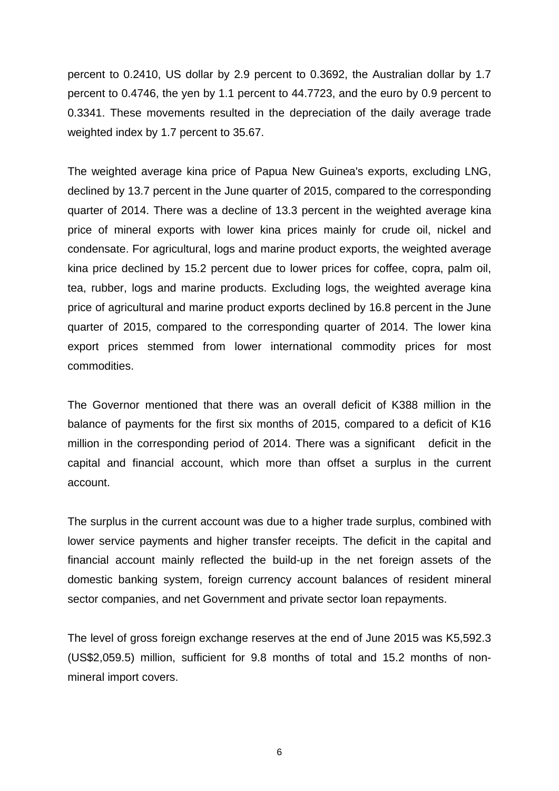percent to 0.2410, US dollar by 2.9 percent to 0.3692, the Australian dollar by 1.7 percent to 0.4746, the yen by 1.1 percent to 44.7723, and the euro by 0.9 percent to 0.3341. These movements resulted in the depreciation of the daily average trade weighted index by 1.7 percent to 35.67.

The weighted average kina price of Papua New Guinea's exports, excluding LNG, declined by 13.7 percent in the June quarter of 2015, compared to the corresponding quarter of 2014. There was a decline of 13.3 percent in the weighted average kina price of mineral exports with lower kina prices mainly for crude oil, nickel and condensate. For agricultural, logs and marine product exports, the weighted average kina price declined by 15.2 percent due to lower prices for coffee, copra, palm oil, tea, rubber, logs and marine products. Excluding logs, the weighted average kina price of agricultural and marine product exports declined by 16.8 percent in the June quarter of 2015, compared to the corresponding quarter of 2014. The lower kina export prices stemmed from lower international commodity prices for most commodities.

The Governor mentioned that there was an overall deficit of K388 million in the balance of payments for the first six months of 2015, compared to a deficit of K16 million in the corresponding period of 2014. There was a significant deficit in the capital and financial account, which more than offset a surplus in the current account.

The surplus in the current account was due to a higher trade surplus, combined with lower service payments and higher transfer receipts. The deficit in the capital and financial account mainly reflected the build-up in the net foreign assets of the domestic banking system, foreign currency account balances of resident mineral sector companies, and net Government and private sector loan repayments.

The level of gross foreign exchange reserves at the end of June 2015 was K5,592.3 (US\$2,059.5) million, sufficient for 9.8 months of total and 15.2 months of nonmineral import covers.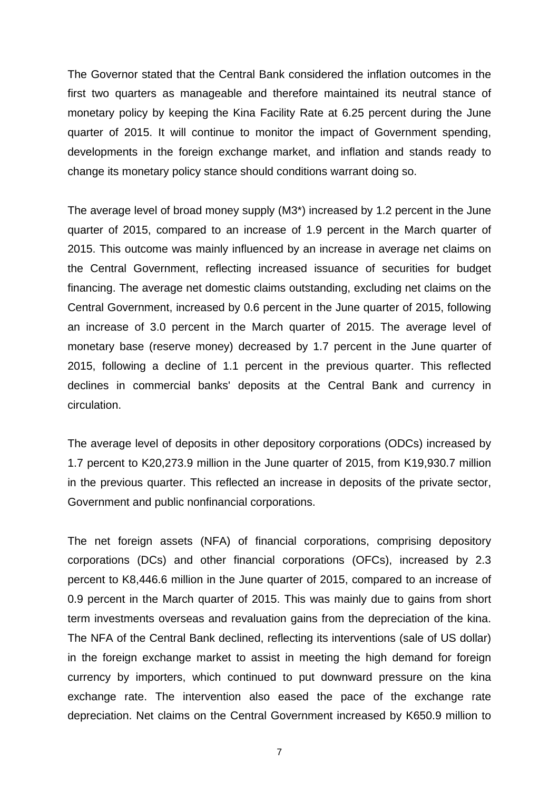The Governor stated that the Central Bank considered the inflation outcomes in the first two quarters as manageable and therefore maintained its neutral stance of monetary policy by keeping the Kina Facility Rate at 6.25 percent during the June quarter of 2015. It will continue to monitor the impact of Government spending, developments in the foreign exchange market, and inflation and stands ready to change its monetary policy stance should conditions warrant doing so.

The average level of broad money supply (M3\*) increased by 1.2 percent in the June quarter of 2015, compared to an increase of 1.9 percent in the March quarter of 2015. This outcome was mainly influenced by an increase in average net claims on the Central Government, reflecting increased issuance of securities for budget financing. The average net domestic claims outstanding, excluding net claims on the Central Government, increased by 0.6 percent in the June quarter of 2015, following an increase of 3.0 percent in the March quarter of 2015. The average level of monetary base (reserve money) decreased by 1.7 percent in the June quarter of 2015, following a decline of 1.1 percent in the previous quarter. This reflected declines in commercial banks' deposits at the Central Bank and currency in circulation.

The average level of deposits in other depository corporations (ODCs) increased by 1.7 percent to K20,273.9 million in the June quarter of 2015, from K19,930.7 million in the previous quarter. This reflected an increase in deposits of the private sector, Government and public nonfinancial corporations.

The net foreign assets (NFA) of financial corporations, comprising depository corporations (DCs) and other financial corporations (OFCs), increased by 2.3 percent to K8,446.6 million in the June quarter of 2015, compared to an increase of 0.9 percent in the March quarter of 2015. This was mainly due to gains from short term investments overseas and revaluation gains from the depreciation of the kina. The NFA of the Central Bank declined, reflecting its interventions (sale of US dollar) in the foreign exchange market to assist in meeting the high demand for foreign currency by importers, which continued to put downward pressure on the kina exchange rate. The intervention also eased the pace of the exchange rate depreciation. Net claims on the Central Government increased by K650.9 million to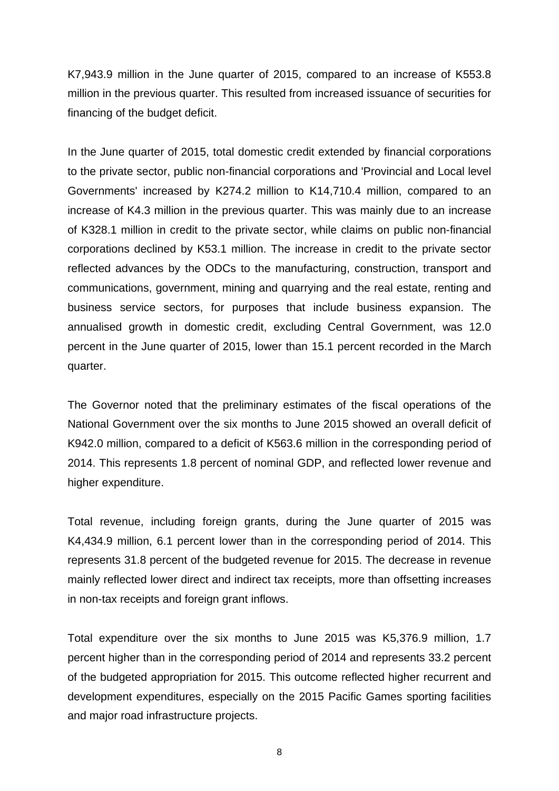K7,943.9 million in the June quarter of 2015, compared to an increase of K553.8 million in the previous quarter. This resulted from increased issuance of securities for financing of the budget deficit.

In the June quarter of 2015, total domestic credit extended by financial corporations to the private sector, public non-financial corporations and 'Provincial and Local level Governments' increased by K274.2 million to K14,710.4 million, compared to an increase of K4.3 million in the previous quarter. This was mainly due to an increase of K328.1 million in credit to the private sector, while claims on public non-financial corporations declined by K53.1 million. The increase in credit to the private sector reflected advances by the ODCs to the manufacturing, construction, transport and communications, government, mining and quarrying and the real estate, renting and business service sectors, for purposes that include business expansion. The annualised growth in domestic credit, excluding Central Government, was 12.0 percent in the June quarter of 2015, lower than 15.1 percent recorded in the March quarter.

The Governor noted that the preliminary estimates of the fiscal operations of the National Government over the six months to June 2015 showed an overall deficit of K942.0 million, compared to a deficit of K563.6 million in the corresponding period of 2014. This represents 1.8 percent of nominal GDP, and reflected lower revenue and higher expenditure.

Total revenue, including foreign grants, during the June quarter of 2015 was K4,434.9 million, 6.1 percent lower than in the corresponding period of 2014. This represents 31.8 percent of the budgeted revenue for 2015. The decrease in revenue mainly reflected lower direct and indirect tax receipts, more than offsetting increases in non-tax receipts and foreign grant inflows.

Total expenditure over the six months to June 2015 was K5,376.9 million, 1.7 percent higher than in the corresponding period of 2014 and represents 33.2 percent of the budgeted appropriation for 2015. This outcome reflected higher recurrent and development expenditures, especially on the 2015 Pacific Games sporting facilities and major road infrastructure projects.